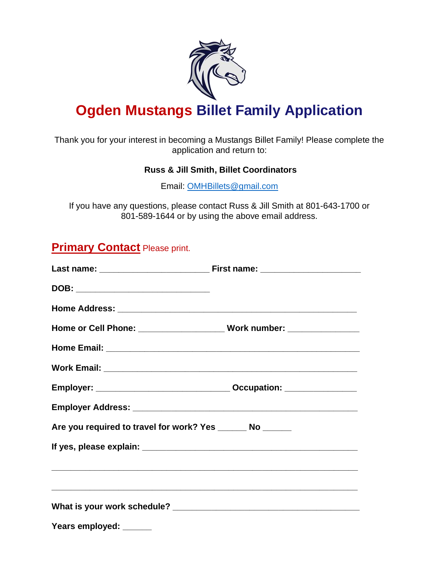

# **Ogden Mustangs Billet Family Application**

Thank you for your interest in becoming a Mustangs Billet Family! Please complete the application and return to:

#### **Russ & Jill Smith, Billet Coordinators**

Email: [OMHBillets@gmail.com](mailto:OMHBillets@gmail.com)

If you have any questions, please contact Russ & Jill Smith at 801-643-1700 or 801-589-1644 or by using the above email address.

### **Primary Contact Please print.**

| DOB: _________________________________                                                                                |  |  |  |
|-----------------------------------------------------------------------------------------------------------------------|--|--|--|
|                                                                                                                       |  |  |  |
| Home or Cell Phone: ___________________________Work number: ____________________                                      |  |  |  |
|                                                                                                                       |  |  |  |
|                                                                                                                       |  |  |  |
|                                                                                                                       |  |  |  |
|                                                                                                                       |  |  |  |
| Are you required to travel for work? Yes _______ No ______                                                            |  |  |  |
|                                                                                                                       |  |  |  |
| <u> 1989 - Johann Harry Harry Harry Harry Harry Harry Harry Harry Harry Harry Harry Harry Harry Harry Harry Harry</u> |  |  |  |
|                                                                                                                       |  |  |  |
|                                                                                                                       |  |  |  |
| Years employed: ______                                                                                                |  |  |  |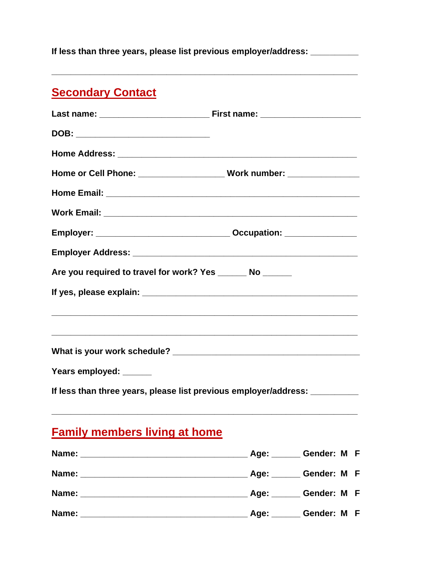**If less than three years, please list previous employer/address: \_\_\_\_\_\_\_\_\_\_** 

## **Secondary Contact**

| DOB: ________________________________                                             |  |  |
|-----------------------------------------------------------------------------------|--|--|
|                                                                                   |  |  |
|                                                                                   |  |  |
|                                                                                   |  |  |
|                                                                                   |  |  |
|                                                                                   |  |  |
|                                                                                   |  |  |
| Are you required to travel for work? Yes _______ No ______                        |  |  |
|                                                                                   |  |  |
| ,我们也不能在这里的人,我们也不能在这里的人,我们也不能在这里的人,我们也不能在这里的人,我们也不能在这里的人,我们也不能在这里的人,我们也不能在这里的人,我们也 |  |  |
|                                                                                   |  |  |
| Years employed: ______                                                            |  |  |
| If less than three years, please list previous employer/address: _________        |  |  |
| <b>Family members living at home</b>                                              |  |  |

|       | Age: _______ Gender: M F |
|-------|--------------------------|
|       | <b>Age: Cender: M F</b>  |
|       | Age: Gender: M F         |
| Name: | Age: Gender: M F         |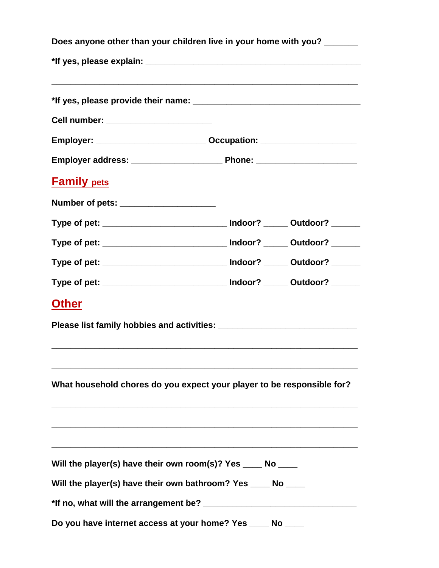| Does anyone other than your children live in your home with you? |                                                                                  |  |
|------------------------------------------------------------------|----------------------------------------------------------------------------------|--|
|                                                                  |                                                                                  |  |
|                                                                  |                                                                                  |  |
| Cell number: ________________________                            |                                                                                  |  |
|                                                                  | Employer: _____________________________Occupation: _____________________________ |  |
|                                                                  |                                                                                  |  |
| <b>Family pets</b>                                               |                                                                                  |  |
| Number of pets: ______________________                           |                                                                                  |  |
|                                                                  | Type of pet: ________________________________ Indoor? ______ Outdoor? ______     |  |
|                                                                  | Type of pet: ________________________________ Indoor? ______ Outdoor? ______     |  |
|                                                                  | Type of pet: __________________________________ Indoor? _______ Outdoor? _______ |  |
|                                                                  | Type of pet: _________________________________ Indoor? ______ Outdoor? _______   |  |
| <b>Other</b>                                                     |                                                                                  |  |
|                                                                  |                                                                                  |  |
|                                                                  | What household chores do you expect your player to be responsible for?           |  |
| Will the player(s) have their own room(s)? Yes ____ No ____      |                                                                                  |  |
| Will the player(s) have their own bathroom? Yes ____ No ____     |                                                                                  |  |
|                                                                  |                                                                                  |  |
| Do you have internet access at your home? Yes ____ No __         |                                                                                  |  |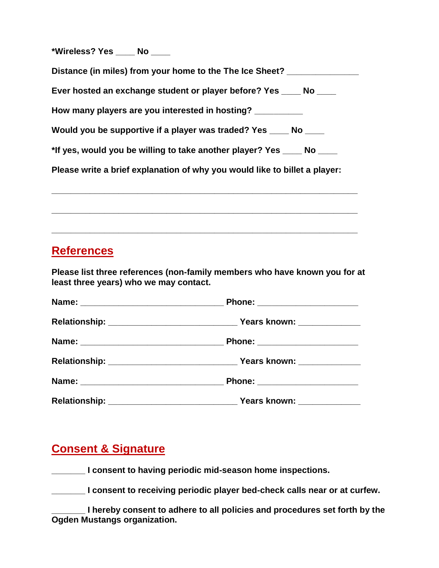**\*Wireless? Yes \_\_\_\_ No \_\_\_\_**

| Distance (in miles) from your home to the The Ice Sheet?                   |
|----------------------------------------------------------------------------|
| Ever hosted an exchange student or player before? Yes ______ No _____      |
| How many players are you interested in hosting? __________                 |
| Would you be supportive if a player was traded? Yes _____ No ____          |
| *If yes, would you be willing to take another player? Yes ____ No ____     |
| Please write a brief explanation of why you would like to billet a player: |

**\_\_\_\_\_\_\_\_\_\_\_\_\_\_\_\_\_\_\_\_\_\_\_\_\_\_\_\_\_\_\_\_\_\_\_\_\_\_\_\_\_\_\_\_\_\_\_\_\_\_\_\_\_\_\_\_\_\_\_\_\_\_\_\_** 

**\_\_\_\_\_\_\_\_\_\_\_\_\_\_\_\_\_\_\_\_\_\_\_\_\_\_\_\_\_\_\_\_\_\_\_\_\_\_\_\_\_\_\_\_\_\_\_\_\_\_\_\_\_\_\_\_\_\_\_\_\_\_\_\_** 

**\_\_\_\_\_\_\_\_\_\_\_\_\_\_\_\_\_\_\_\_\_\_\_\_\_\_\_\_\_\_\_\_\_\_\_\_\_\_\_\_\_\_\_\_\_\_\_\_\_\_\_\_\_\_\_\_\_\_\_\_\_\_\_\_** 

### **References**

**Please list three references (non-family members who have known you for at least three years) who we may contact.**

| Phone: ________________________  |
|----------------------------------|
|                                  |
| Phone: _______________________   |
|                                  |
| Phone: _________________________ |
|                                  |

### **Consent & Signature**

**\_\_\_\_\_\_\_ I consent to having periodic mid-season home inspections.**

**\_\_\_\_\_\_\_ I consent to receiving periodic player bed-check calls near or at curfew.** 

**\_\_\_\_\_\_\_ I hereby consent to adhere to all policies and procedures set forth by the Ogden Mustangs organization.**